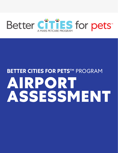

# **BETTER CITIES FOR PETS**™ PROGRAM **AIRPORT ASSESSMENT**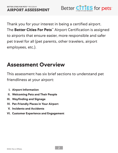

Thank you for your interest in being a certified airport. The **Better Cities For Pets**™ Airport Certification is assigned to airports that ensure easier, more responsible and safer pet travel for all (pet parents, other travelers, airport employees, etc.).

# **Assessment Overview**

This assessment has six brief sections to understand pet friendliness at your airport:

- **I. Airport Information**
- **II. Welcoming Pets and Their People**
- **III. Wayfinding and Signage**
- **IV. Pet-Friendly Places in Your Airport**
- **V. Incidents and Accidents**
- **VI. Customer Experience and Engagement**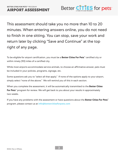

This assessment should take you no more than 10 to 20 minutes. When entering answers online, you do not need to finish in one sitting. You can stop, save your work and return later by clicking "Save and Continue" at the top right of any page.

To be eligible for airport certification, you must be a **Better Cities For Pets**™ certified city or within ninety (90) miles of a certified city.

While most airports accommodate service animals, to choose an affirmative answer, pets must be included in your policies, programs, signage, etc.

Some questions ask you to "select all that apply." If none of the options apply to your airport, simply select "none of the above." We will remind you of this in each section.

When you complete the assessment, it will be automatically transmitted to the **Better Cities For Pets**™ program for review. We will get back to you about your results in approximately two weeks.

If you have any problems with the assessment or have questions about the **Better Cities For Pets**™ program, please contact us at **info@bettercitiesforpets.com**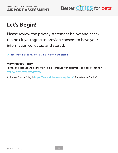

# **Let's Begin!**

Please review the privacy statement below and check the box if you agree to provide consent to have your information collected and stored.

O I consent to having my information collected and stored.

#### **View Privacy Policy**

Privacy and data use will be maintained in accordance with statements and policies found here **https://www.mars.com/privacy**

Alchemer Privacy Policy is **https://www.alchemer.com/privacy/** for reference (online).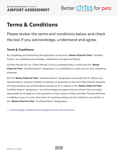

# **Terms & Conditions**

Please review the terms and conditions below and check the box if you acknowledge, understand and agree.

#### **Terms & Conditions:**

By completing and submitting this application to become a **Better Cities For Pets**™ Certified Airport, you expressly acknowledge, understand, and agree as follows:

(a) Mars Petcare US, Inc. ("Mars Petcare") is not a certifying body or entity and the "**Better Cities For Pets**™ Certified Airport" designation is a certification in name only for your marketing purposes.

(b) The "**Better Cities For Pets**™ Certified Airport" designation is provided AS-IS, without any representation, warranty (implied or express), or guarantee of any kind. Mars Petcare expressly and fully disclaims any and all liability arising out of or related to the "**Better Cities For Pets**™ Certified Airport" designation. You acknowledge and agree that you remain fully and solely responsible for all aspects of the operations of your airport facility, and Mars Petcare shall have no liability to you or to any other party for anything arising out of or related to your facility or the "**Better Cities For Pets**™ Certified Airport" designation.

O I acknowledge, understand and agree to terms and conditions.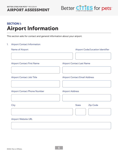

### **SECTION I: Airport Information**

This section asks for contact and general information about your airport.

#### 1. Airport Contact Information

| <b>Name of Airport</b>              | <b>Airport Code/Location Identifier</b> |
|-------------------------------------|-----------------------------------------|
|                                     |                                         |
| <b>Airport Contact First Name</b>   | <b>Airport Contact Last Name</b>        |
|                                     |                                         |
| <b>Airport Contact Job Title</b>    | <b>Airport Contact Email Address</b>    |
|                                     |                                         |
| <b>Airport Contact Phone Number</b> | <b>Airport Address</b>                  |
|                                     |                                         |
| <b>City</b>                         | <b>State</b><br><b>Zip Code</b>         |
|                                     |                                         |
| <b>Airport Website URL</b>          |                                         |
|                                     |                                         |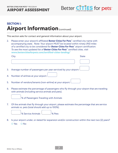

### **SECTION I: Airport Information** (continued)

This section asks for contact and general information about your airport.

2. Please enter your airport's affiliated **Better Cities For Pets**™ certified city name with accompanying state. Note: Your airport MUST be located within ninety (90) miles of a certified city to be considered for **Better Cities For Pets**™ airport certification. To see the most updated list of **Better Cities For Pets**™ certified cities, visit **www.bettercitiesforpets.com/certified-cities-landing/**

|    | City                                                                                                                                               | <b>State</b> |
|----|----------------------------------------------------------------------------------------------------------------------------------------------------|--------------|
|    |                                                                                                                                                    |              |
| 3. | Average number of passengers per year serviced by your airport: $\cup$                                                                             |              |
|    | 4. Number of airlines at your airport:                                                                                                             |              |
|    | 5. Number of vendors/tenants (non-airline) at your airport:                                                                                        |              |
| 6. | Please estimate the percentage of passengers who fly through your airport that are traveling<br>with animals (including service animals and pets). |              |



7. Of the animals that fly through your airport, please estimate the percentage that are service animals vs. pets (total should add up to 100%).

% Service Animals % Pets

8. Is your airport under, or slated for expansion and/or construction within the next two (2) years? O Yes O No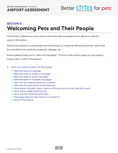

### **SECTION II: Welcoming Pets and Their People**

This section is about how your airport welcomes pets as people arrive, depart or look for airport information.

While most airports accommodate service animals, to choose an affirmative answer, pets must be included in your policies, programs, signage, etc.

Some questions ask you to "select all that apply." If none of the options apply to your airport, simply select "none of the above."

- 9. Does your airport (select all that apply):
	- O Welcome pets on signage
	- O Welcome pets in braille on signage
	- O Welcome pets in audio messages
	- O Welcome pets in multiple languages
	- O Have pet-focused promotions or events
	- O Have pet-focused social media features
	- O Have airport shuttles, trains, trams and/or partner services that allow pets
	- O Have indoor relief areas for pets
	- O Have outdoor relief areas for pets
	- O Have play areas for pets (indoor or outdoor)
	- O None of the above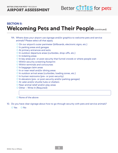

#### **SECTION II: Welcoming Pets and Their People (continued)**

- 9A: Where does your airport use signage and/or graphics to welcome pets and service animals? Please select all that apply.
	- O On our airport's outer perimeter (billboards, electronic signs, etc.)
	- O In parking areas and garages
	- O At primary entrances and exits
	- O In outdoor departure areas (curbsides, drop-offs, etc.)
	- O In ticketing areas
	- O In key areas pre- or post-security that funnel crowds or where people wait
	- O Within security screening footprint
	- O Within terminals and concourses
	- O In baggage claim areas
	- O In or near retail and/or dining areas
	- O In outdoor arrival areas (curbsides, loading zones, etc.)
	- O In human restrooms (pre- or post-security)
	- O In elevators (pre- or post-security and/or parking garages)
	- O At valet and/or shuttle hubs or shelters
	- O Near animal relief and/or play areas
	- O Other Write In (Required)

O None of the above

10. Do you have clear signage about how to go through security with pets and service animals?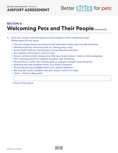

#### **SECTION II: Welcoming Pets and Their People (continued)**

- 11. Does your airport welcome pets and their people in these additional ways? Please select all that apply.
	- O Ground transportation services provide information about pet-friendly amenities
	- O Website explicitly welcomes pets (vs. stating policy only)
	- O Social media features visiting pets and pet-friendly amenities
	- O Pet supplies sold onsite in case of need
	- O Airport vendors and/or restaurants offer special pet menus, treats or other giveaways
	- O Paw-cleaning stations or supplies available near entrances
	- O Pet ponchos or other wet weather gear or supplies available near entrances
	- O Boarding services available within your airport footprint
	- O Grooming services available within your airport footprint
	- O Pet-friendly hotels available near your airport (within 10 miles)
	- O Other Write In (Required)
	- O None of the above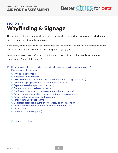

### **SECTION III: Wayfinding & Signage**

This section is about how your airport helps guests with pets and service animals find what they need as they travel through your airport.

Here again, while most airports accommodate service animals, to choose an affirmative answer, pets must be included in your policies, programs, signage, etc.

Some questions ask you to "select all that apply." If none of the options apply to your airport, simply select "none of the above."

- 12. How do you help travelers find pet-friendly areas or services in your airport? Please select all that apply.
	- O Physical, onsite maps
	- O Electronic signs or boards
	- O Assistive mediums used for navigation (audio messaging, braille, etc.)
	- O Overhead signage that can be seen from a distance
	- O Paper collateral (maps, brochures, etc.)
	- O General information desks or kiosks
	- O Pet-focused installations or kiosks (manned or unmanned)
	- O Airport personnel, facilities, security and operations teams
	- O Airport volunteers and/or ambassadors
	- O Airport tenant/vendor teams
	- O Dedicated telephone number or courtesy phone extension
	- O Airport website (maps, general locations, directions, etc.)
	- O Airport app
	- O Other Write In (Required)

O None of the above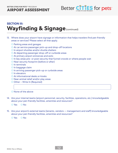**AIRPORT ASSESSMENT**



### **SECTION III: Wayfinding & Signage** (continued)

- 13. Where does your airport have signage or information that helps travelers find pet-friendly areas or services? Please select all that apply.
	- O Parking areas and garages
	- O At car service passenger pick-up and drop-off locations
	- O In airport shuttles and/or shuttle shelters
	- O At departing passenger drop-off or curbside areas
	- O At primary airport entrances and exits
	- O In key areas pre- or post-security that funnel crowds or where people wait
	- O Near security footprint (before or after)
	- O In terminals
	- O In baggage claim
	- O In arriving passenger pick-up or curbside areas
	- O In elevators
	- O At informational desks or kiosks
	- O Near animal relief and/or play areas
	- O Other Write In (Required)
	- O None of the above
- 14. Are your internal teams (airport personnel, security, facilities, operations, etc.) knowledgeable about your pet-friendly facilities, amenities and resources?
	- O Yes O No
- 15. Are your airport's external teams (tenants, vendors management and staff) knowledgeable about your pet-friendly facilities, amenities and resources?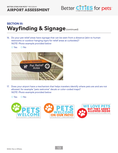

#### **SECTION III: Wayfinding & Signage (continued)**

16. Do your pet relief areas have signage that can be seen from a distance (akin to human restrooms or outdoor hanging signs for relief areas at curbsides)? NOTE: Photo example provided below

O Yes O No



17. Does your airport have a mechanism that helps travelers identify where pets are and are not allowed, for example "pets welcome" decals or color-coded maps? NOTE: Photo example provided below

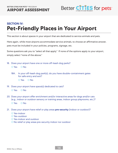

### **SECTION IV: Pet-Friendly Places in Your Airport**

This section is about spaces in your airport that are dedicated to service animals and pets.

Here again, while most airports accommodate service animals, to choose an affirmative answer, pets must be included in your policies, programs, signage, etc.

Some questions ask you to "select all that apply." If none of the options apply to your airport, simply select "none of the above."

- 18. Does your airport have one or more off-leash dog parks? O Yes O No
	- 18A. In your off-leash dog park(s), do you have double-containment gates for safe entry and exit?
		- O Yes O No
- 19. Does your airport have space(s) dedicated to cats? O Yes O No
- 20. Does your airport offer enrichment and/or interactive areas for dogs and/or cats (e.g., indoor or outdoor sensory or training areas, indoor group playrooms, etc.)? O Yes O No
- 21. Does your airport have relief or play areas **pre-security** (indoor or outdoor)?
	- O Yes-indoor
	- O Yes-outdoor
	- O Yes-indoor and outdoor
	- O No relief or play areas pre-security indoor nor outdoor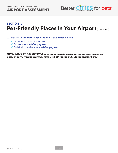

#### **SECTION IV: Pet-Friendly Places in Your Airport (continued)**

- 22. Does your airport currently have (select one option below):
	- O Only indoor relief or play areas
	- O Only outdoor relief or play areas
	- O Both indoor and outdoor relief or play areas

**NOTE: BASED ON #22 RESPONSE goes to appropriate sections of assessment; indoor-only, outdoor-only or respondents will complete both indoor and outdoor sections below.**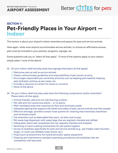

#### **SECTION V: Pet-Friendly Places in Your Airport — Indoor**

This section is about your airport's indoor amenities and spaces for pets and service animals.

Here again, while most airports accommodate service animals, to choose an affirmative answer, pets must be included in your policies, programs, signage, etc.

Some questions ask you to "select all that apply." If none of the options apply to your airport, simply select "none of the above."

- 23. Do your indoor relief and play areas have signage that (select all that apply):
	- O Welcomes pets as well as service animals
	- O Clearly communicates guidelines and responsibilities of pet owners at entry
	- O Encourages responsible pet ownership practices such as keeping pets leashed, keeping pets hydrated, picking up pet waste, etc.
	- O Includes a resource to contact for issues or concerns
	- O None of the above
- 24. Do your indoor relief and play areas have the following components and/or amenities? Please select all that apply.
	- O Animal-friendly, safe and non-slip flooring surfaces
	- O Pet-safe and non-poisonous plants or no plants
	- O Well-ventilated areas that maximize air flow and minimizes smells
	- O Adequate lighting that supports the health and safety of pets, service animals and their people
	- O Effective drainage, sprinklers and/or hose systems for cleaning that maximizes cleanliness and minimizes smells
	- O Cat amenities such as disposable litter pans, cat litter and scoops
	- O Pet waste bag dispensers with waste bags that are regularly checked and refilled
	- O Adequately sized trash receptacles that are regularly checked and emptied
	- O Sanitizing or hand-washing mechanisms for pet parent hygiene
	- O Access to hydration specifically for pets and service animals (e.g., pet-height water fountain, single- or multi-use refillable water bowls, etc.)
	- O Props (such as pheromone fire hydrants) and/or agility equipment
	- O Cleaning and maintenance standard operating procedures and schedules that are consistently well executed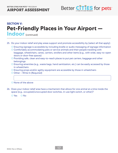**AIRPORT ASSESSMENT**



## **SECTION V: Pet-Friendly Places in Your Airport —**

**Indoor** (continued)

- 25. Do your indoor relief and play areas support and promote accessibility by (select all that apply):
	- O Ensuring signage is accessible by including braille or audio messaging of signage information
	- O Comfortably accommodating pets or service animals and their people traveling with baggage, wheelchairs, canes, carriers, strollers and other items (e.g., with wide, easy-to-open doors or door-free spaces)
	- O Providing safe, clean and easy-to-reach places to put pet carriers, baggage and other belongings
	- O Ensuring amenities (e.g., waste bags, hand sanitization, etc.) can be easily accessed by those in wheelchairs
	- O Ensuring props and/or agility equipment are accessible by those in wheelchairs
	- O Other Write In (Required)
	- O None of the above
- 26. Does your indoor relief area have a mechanism that allows for one animal at a time inside the space (e.g., occupied/unoccupied door switches, in-use light switch, or other)?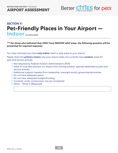**AIRPORT ASSESSMENT**



#### **SECTION V: Pet-Friendly Places in Your Airport — Indoor** (continued)

**\*\*\* For those who indicated they ONLY have INDOOR relief areas, the following question will be presented for required response:** 

You have indicated you have **only indoor** relief or play areas at your airport.

Please share the **primary reason** why your airport does not currently have **outdoor** areas for pets and service animals.

- O Not required by Federal Aviation Administration (FAA)
- O State or local laws prevent our airport from having outdoor space(s) dedicated to pets and service animals
- O Additional support needed from leadership, oversight and/or governmental entities
- O Do not have adequate space
- O Do not have adequate budget/funding
- O Currently under construction-not yet completed
- O Other Write In (Required)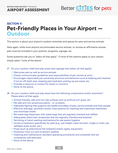

#### **SECTION V: Pet-Friendly Places in Your Airport — Outdoor**

This section is about your airport's outdoor amenities and spaces for pets and service animals.

Here again, while most airports accommodate service animals, to choose an affirmative answer, pets must be included in your policies, programs, signage, etc.

Some questions ask you to "select all that apply." If none of the options apply to your airport, simply select "none of the above."

- 27. Do your outdoor relief and play areas have signage that (select all that apply):
	- O Welcomes pets as well as service animals
	- O Clearly communicates guidelines and responsibilities of pet owners at entry
	- O Encourages responsible pet ownership practices and behaviors such as keeping pets leashed if not an off-leash area, keeping pets hydrated, picking up pet waste, etc.
	- O Includes a resource to contact for issues or concerns
	- O None of the above
- 28. Do your outdoor relief and play areas have the following components and/or amenities? Please select all that apply.
	- O Animal-friendly, safe and non-slip surfaces such as artificial turf, grass, etc.
	- O Pet safe and non-poisonous plants or no plants
	- O Adequate lighting that supports the health and safety of pets, service animals and their people
	- O Effective drainage, sprinklers and/or hose systems for cleaning that maximizes cleanliness and minimizes smells
	- O Pet waste bag dispensers with waste bags that are regularly checked and refilled
	- O Adequately sized trash receptacles that are regularly checked and emptied
	- O Sanitizing or hand-washing mechanisms for pet parent hygiene
	- O Access to hydration specifically for pets (e.g., pet-height water fountain, single or multi-use refillable water bowls, etc.)
	- O Props (such as pheromone fire hydrants) and/or agility equipment
	- O Protection from sun and inclement weather
	- O Cleaning and maintenance standard operating procedures and schedules that are consistently well executed
	- O None of the above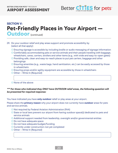**AIRPORT ASSESSMENT**



#### **SECTION V: Pet-Friendly Places in Your Airport — Outdoor** (continued)

- 29. Do your outdoor relief and play areas support and promote accessibility by (select all that apply):
	- O Ensuring signage is accessible by including braille or audio messaging of signage information
	- O Comfortably accommodating pets or service animals and their people traveling with baggage, wheelchairs, canes, carriers, strollers and other items (e.g., with wide and easy-to-open gates)
	- O Providing safe, clean and easy-to-reach places to put pet carriers, baggage and other belongings
	- O Ensuring amenities (e.g., waste bags, hand sanitization, etc.) can be easily accessed by those in wheelchairs
	- O Ensuring props and/or agility equipment are accessible by those in wheelchairs
	- O Other Write In (Required)
	- O None of the above

#### **\*\*\* For those who indicated they ONLY have OUTDOOR relief areas, the following question will be presented for required response:**

You have indicated you have **only outdoor** relief or play areas at your airport.

Please share the **primary reason** why your airport does not currently have **outdoor** areas for pets and service animals.

- O Not required by Federal Aviation Administration (FAA)
- O State or local laws prevent our airport from having outdoor space(s) dedicated to pets and service animals
- O Additional support needed from leadership, oversight and/or governmental entities
- O Do not have adequate space
- O Do not have adequate budget/funding
- O Currently under construction-not yet completed
- O Other Write In (Required)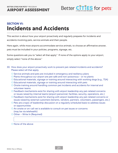

#### **SECTION VI: Incidents and Accidents**

This section is about how your airport proactively and regularly prepares for incidents and accidents involving pets, service animals and their people.

Here again, while most airports accommodate service animals, to choose an affirmative answer, pets must be included in your policies, programs, signage, etc.

Some questions ask you to "select all that apply." If none of the options apply to your airport, simply select "none of the above."

- 30. How does your airport proactively work to prevent pet-related incidents and accidents? Please select all that apply.
	- O Service animals and pets are included in emergency and resiliency plans
	- O Plants throughout our airport are pet-safe and non-poisonous or no plants
	- O Educational materials, signage or training around interacting with working dogs (e.g., TSA)
	- O Educational materials, signage or training around interacting with pets
	- O Onsite training around handling common pet incidents and accidents for internal and volunteer teams
	- O Feedback mechanisms exist for sharing with airport leadership any pet-related concerns or issues raised by internal teams (airport personnel, facilities, security, operations, etc.)
	- O Feedback mechanisms exist for sharing with airport leadership any pet-related concerns or issues raised by external customers (tenants, vendors, partners, volunteers, passengers, etc.)
	- O Pets are a topic of leadership discussion on a regularly scheduled basis to address issues or opportunities
	- O An onsite or on-call vet is available to consult on pet issues or concerns (may be via telehealth)
	- O Other Write In (Required)

O None of the above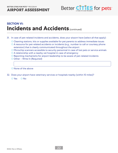

#### **SECTION VI: Incidents and Accidents (continued)**

- 31. In case of pet-related incidents and accidents, does your airport have (select all that apply):
	- O Cleaning stations, kits or supplies available for pet parents to address immediate issues
	- O A resource for pet-related accidents or incidents (e.g., number to call or courtesy phone extension) that is clearly communicated throughout the airport
	- O Microchip scanners accessible to security personnel in case of lost pets or service animals
	- O A relationship with a nearby vet hospital in case of emergency
	- O Reporting mechanisms for airport leadership to be aware of pet-related incidents
	- O Other Write In (Required)

O None of the above

32. Does your airport have veterinary services or hospitals nearby (within 10 miles)?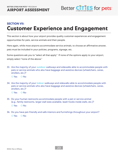

### **SECTION VII: Customer Experience and Engagement**

This section is about how your airport provides quality customer experiences and engagement opportunities for pets, service animals and their people.

Here again, while most airports accommodate service animals, to choose an affirmative answer, pets must be included in your policies, programs, signage, etc.

Some questions ask you to "select all that apply." If none of the options apply to your airport, simply select "none of the above."

- 33. Are the majority of your **outdoor** walkways and sidewalks able to accommodate people with pets or service animals who also have baggage and assistive devices (wheelchairs, canes, strollers, etc.)?
	- O Yes O No
- 34. Are the majority of your **indoor** walkways and sidewalks able to accommodate people with pets or service animals who also have baggage and assistive devices (wheelchairs, canes, strollers, etc.)?
	- O Yes O No
- 35. Do your human restrooms accommodate people with a pet or service animal (e.g., family restrooms, larger stall sizes available, leash hooks inside stalls, etc.)? O Yes O No
- 36. Do you have pet-friendly and safe interiors and furnishings throughout your airport? O Yes O No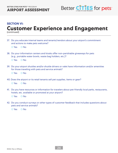

#### **SECTION VI:**

# **Customer Experience and Engagement**

(continued)

37. Do you educate internal teams and tenants/vendors about your airport's commitment and actions to make pets welcome?

O Yes O No

- 38. Do your information centers and kiosks offer non-perishable giveaways for pets (e.g., portable water bowls, waste bag holders, etc.)?
	- O Yes O No
- 39. Do your airport shuttles and/or shuttle drivers or valet have information and/or amenities for those traveling with pets and service animals?
	- O Yes O No
- 40. Does the airport or its retail tenants sell pet supplies, items or gear?
	- O Yes O No
- 41. Do you have resources or information for travelers about pet-friendly local parks, restaurants, hotels, etc. available or promoted at your airport?

O Yes O No

42. Do you conduct surveys or other types of customer feedback that includes questions about pets and service animals?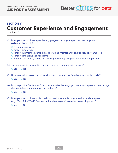**AIRPORT ASSESSMENT**



#### **SECTION VI:**

# **Customer Experience and Engagement**

(continued)

- 43. Does your airport have a pet therapy program or program partner that supports (select all that apply):
	- O Passengers/travelers
	- O Airport employees
	- O Airport internal teams (facilities, operations, maintenance and/or security teams etc.)
	- O Airport tenant and vendor teams
	- O None of the above/We do not have a pet therapy program nor a program partner
- 44. Do your administrative offices allow employees to bring pets to work?

O Yes O No

45. Do you provide tips on traveling with pets on your airport's website and social media?

- 46. Do you provide "selfie spots" or other activities that engage travelers with pets and encourage them to talk about their airport experience?
	- O Yes O No
- 47. Does your airport have social media or in-airport media programs that celebrate pets (e.g., "Pet of the Week" features, unique hashtags, video series, travel blogs, etc.)?
	- O Yes O No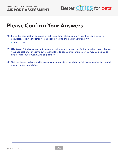**BETTER CITIES FOR PETS**™ PROGRAM **AIRPORT ASSESSMENT**



## **Please Confirm Your Answers**

48. Since this certification depends on self-reporting, please confirm that the answers above accurately reflect your airport's pet-friendliness to the best of your ability?

- 49. **(Optional)** Attach any relevant supplemental photo(s) or materials(s) that you feel may enhance your application. For example, we would love to see your relief area(s). You may upload up to five (5) high-quality .png, .jpg or .pdf files.
- 50. Use this space to share anything else you want us to know about what makes your airport stand out for its pet-friendliness.